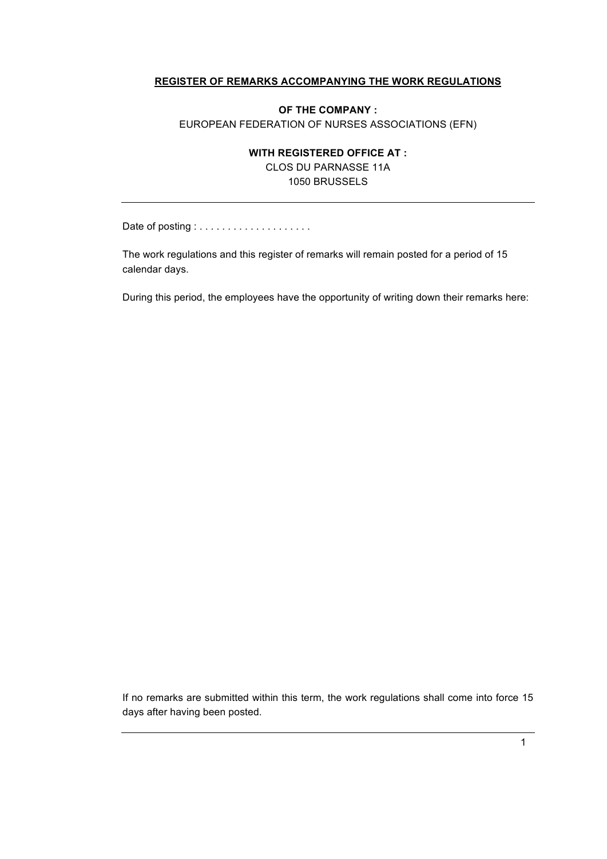#### **REGISTER OF REMARKS ACCOMPANYING THE WORK REGULATIONS**

#### **OF THE COMPANY :** EUROPEAN FEDERATION OF NURSES ASSOCIATIONS (EFN)

#### **WITH REGISTERED OFFICE AT :**

CLOS DU PARNASSE 11A 1050 BRUSSELS

Date of posting : . . . . . . . . . . . . . . . . . . . .

The work regulations and this register of remarks will remain posted for a period of 15 calendar days.

During this period, the employees have the opportunity of writing down their remarks here:

If no remarks are submitted within this term, the work regulations shall come into force 15 days after having been posted.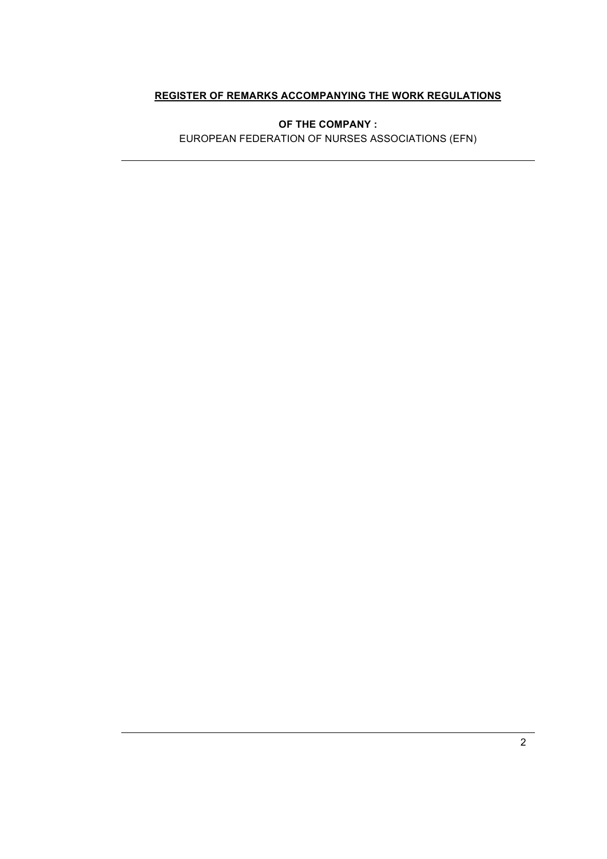#### **REGISTER OF REMARKS ACCOMPANYING THE WORK REGULATIONS**

**OF THE COMPANY :**

EUROPEAN FEDERATION OF NURSES ASSOCIATIONS (EFN)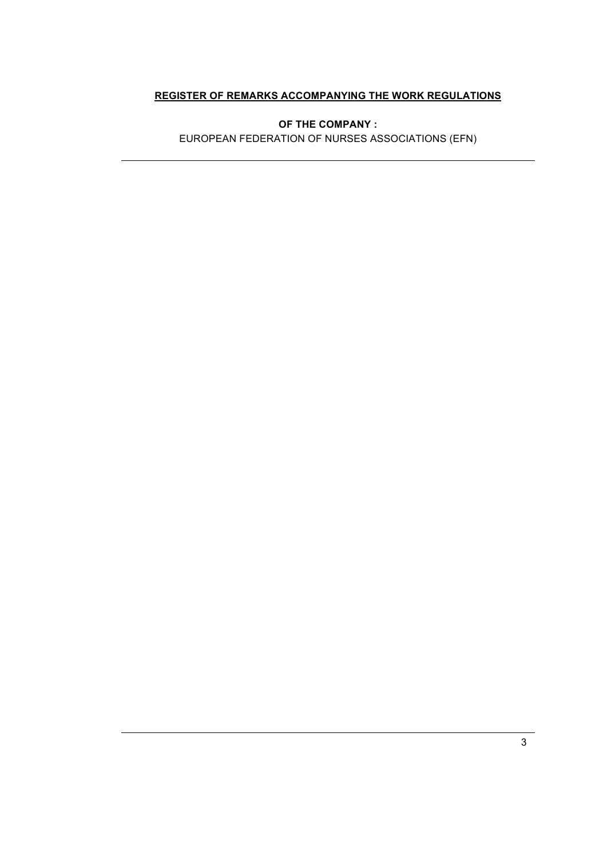#### **REGISTER OF REMARKS ACCOMPANYING THE WORK REGULATIONS**

**OF THE COMPANY :**

EUROPEAN FEDERATION OF NURSES ASSOCIATIONS (EFN)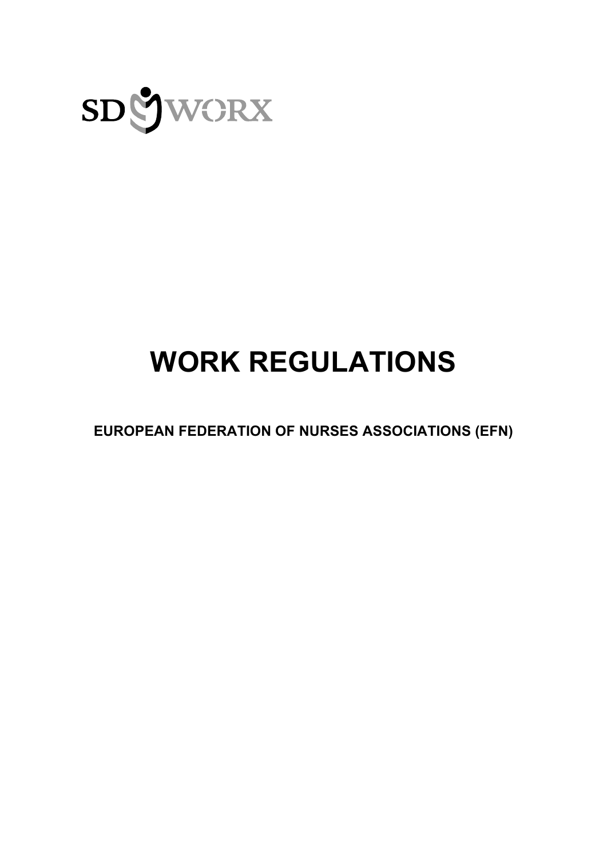

# **WORK REGULATIONS**

**EUROPEAN FEDERATION OF NURSES ASSOCIATIONS (EFN)**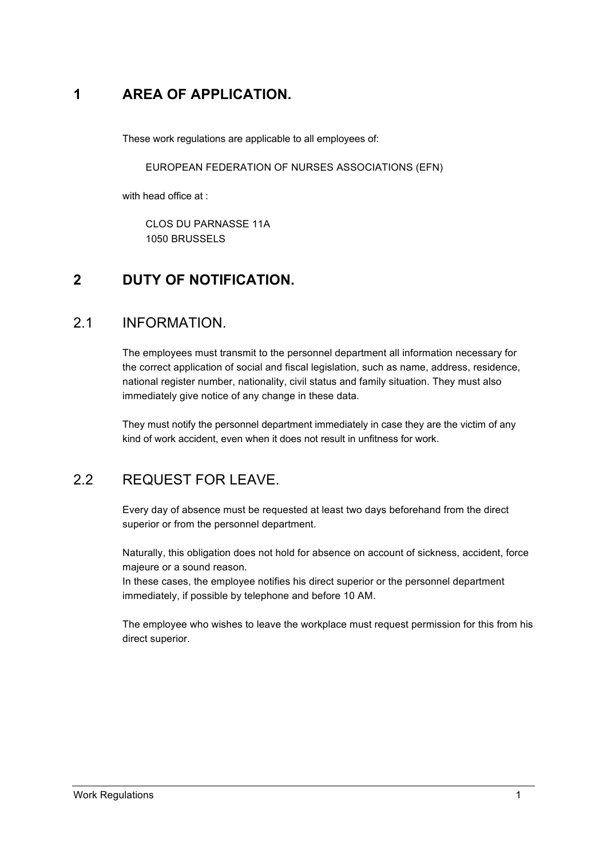### **1 AREA OF APPLICATION.**

These work regulations are applicable to all employees of:

EUROPEAN FEDERATION OF NURSES ASSOCIATIONS (EFN)

with head office at :

CLOS DU PARNASSE 11A 1050 BRUSSELS

### **2 DUTY OF NOTIFICATION.**

### 2.1 INFORMATION.

The employees must transmit to the personnel department all information necessary for the correct application of social and fiscal legislation, such as name, address, residence, national register number, nationality, civil status and family situation. They must also immediately give notice of any change in these data.

They must notify the personnel department immediately in case they are the victim of any kind of work accident, even when it does not result in unfitness for work.

### 2.2 REQUEST FOR LEAVE.

Every day of absence must be requested at least two days beforehand from the direct superior or from the personnel department.

Naturally, this obligation does not hold for absence on account of sickness, accident, force majeure or a sound reason.

In these cases, the employee notifies his direct superior or the personnel department immediately, if possible by telephone and before 10 AM.

The employee who wishes to leave the workplace must request permission for this from his direct superior.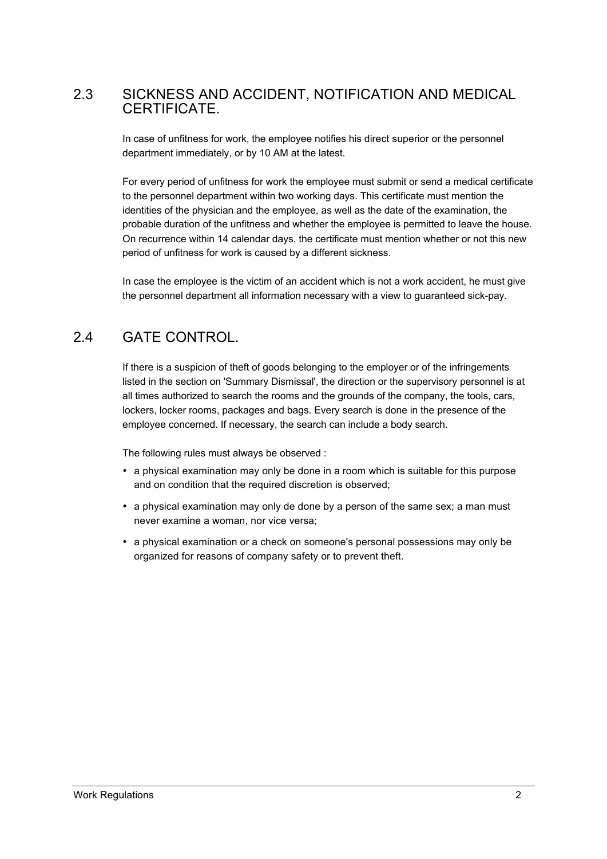### 2.3 SICKNESS AND ACCIDENT, NOTIFICATION AND MEDICAL **CERTIFICATE**

In case of unfitness for work, the employee notifies his direct superior or the personnel department immediately, or by 10 AM at the latest.

For every period of unfitness for work the employee must submit or send a medical certificate to the personnel department within two working days. This certificate must mention the identities of the physician and the employee, as well as the date of the examination, the probable duration of the unfitness and whether the employee is permitted to leave the house. On recurrence within 14 calendar days, the certificate must mention whether or not this new period of unfitness for work is caused by a different sickness.

In case the employee is the victim of an accident which is not a work accident, he must give the personnel department all information necessary with a view to guaranteed sick-pay.

### 2.4 GATE CONTROL.

If there is a suspicion of theft of goods belonging to the employer or of the infringements listed in the section on 'Summary Dismissal', the direction or the supervisory personnel is at all times authorized to search the rooms and the grounds of the company, the tools, cars, lockers, locker rooms, packages and bags. Every search is done in the presence of the employee concerned. If necessary, the search can include a body search.

The following rules must always be observed :

- a physical examination may only be done in a room which is suitable for this purpose and on condition that the required discretion is observed;
- a physical examination may only de done by a person of the same sex; a man must never examine a woman, nor vice versa;
- a physical examination or a check on someone's personal possessions may only be organized for reasons of company safety or to prevent theft.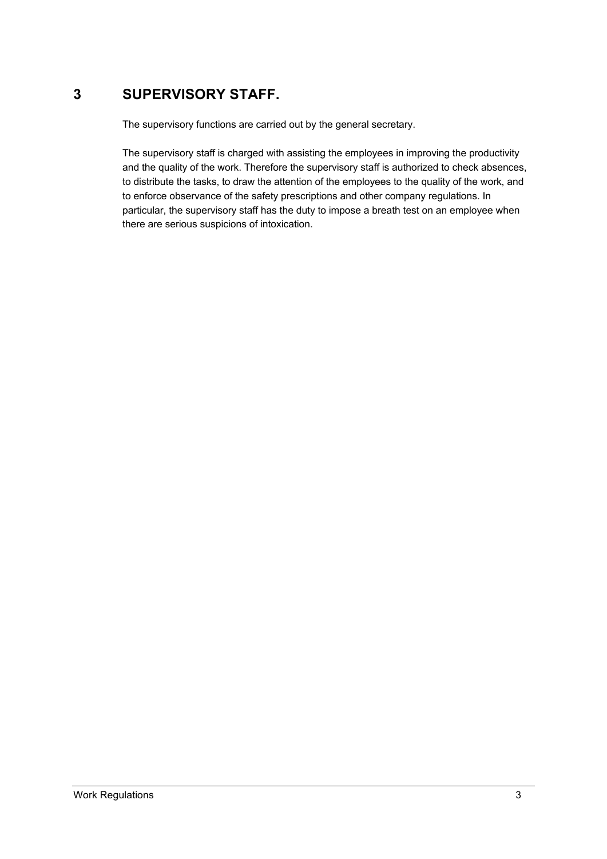### **3 SUPERVISORY STAFF.**

The supervisory functions are carried out by the general secretary.

The supervisory staff is charged with assisting the employees in improving the productivity and the quality of the work. Therefore the supervisory staff is authorized to check absences, to distribute the tasks, to draw the attention of the employees to the quality of the work, and to enforce observance of the safety prescriptions and other company regulations. In particular, the supervisory staff has the duty to impose a breath test on an employee when there are serious suspicions of intoxication.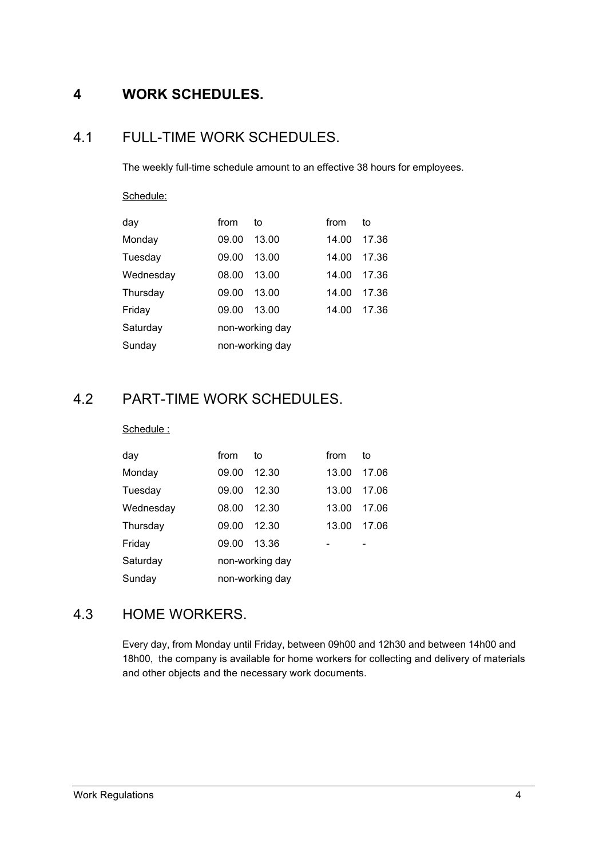### **4 WORK SCHEDULES.**

### 4.1 FULL-TIME WORK SCHEDULES.

The weekly full-time schedule amount to an effective 38 hours for employees.

## Schedule:

| day       | from            | to    | from  | to    |  |
|-----------|-----------------|-------|-------|-------|--|
| Monday    | 09.00           | 13.00 | 14.00 | 17.36 |  |
| Tuesday   | 09.00           | 13.00 | 14.00 | 17.36 |  |
| Wednesday | 08.00           | 13.00 | 14.00 | 17.36 |  |
| Thursday  | 09.00           | 13.00 | 14.00 | 17.36 |  |
| Friday    | 09.00           | 13.00 | 14.00 | 17.36 |  |
| Saturday  | non-working day |       |       |       |  |
| Sunday    | non-working day |       |       |       |  |

### 4.2 PART-TIME WORK SCHEDULES.

#### Schedule :

| day       | from            | to    | from  | to    |  |
|-----------|-----------------|-------|-------|-------|--|
| Monday    | 09.00           | 12.30 | 13.00 | 17.06 |  |
| Tuesday   | 09.00           | 12.30 | 13.00 | 17.06 |  |
| Wednesday | 08.00           | 12.30 | 13.00 | 17.06 |  |
| Thursdav  | 09.00           | 12.30 | 13.00 | 17.06 |  |
| Friday    | 09.00           | 13.36 |       |       |  |
| Saturday  | non-working day |       |       |       |  |
| Sunday    | non-working day |       |       |       |  |

### 4.3 HOME WORKERS.

Every day, from Monday until Friday, between 09h00 and 12h30 and between 14h00 and 18h00, the company is available for home workers for collecting and delivery of materials and other objects and the necessary work documents.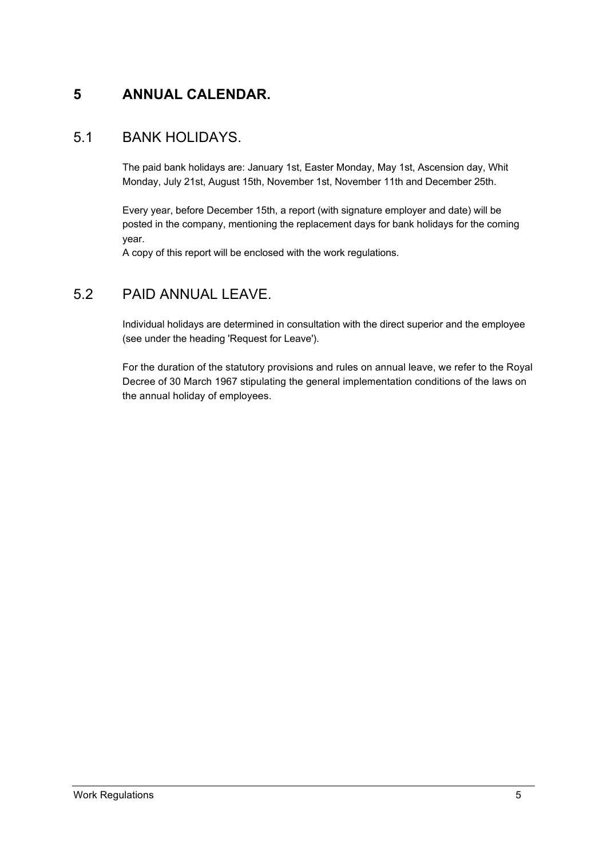### **5 ANNUAL CALENDAR.**

### 5.1 BANK HOLIDAYS.

The paid bank holidays are: January 1st, Easter Monday, May 1st, Ascension day, Whit Monday, July 21st, August 15th, November 1st, November 11th and December 25th.

Every year, before December 15th, a report (with signature employer and date) will be posted in the company, mentioning the replacement days for bank holidays for the coming year.

A copy of this report will be enclosed with the work regulations.

### 5.2 PAID ANNUAL LEAVE.

Individual holidays are determined in consultation with the direct superior and the employee (see under the heading 'Request for Leave').

For the duration of the statutory provisions and rules on annual leave, we refer to the Royal Decree of 30 March 1967 stipulating the general implementation conditions of the laws on the annual holiday of employees.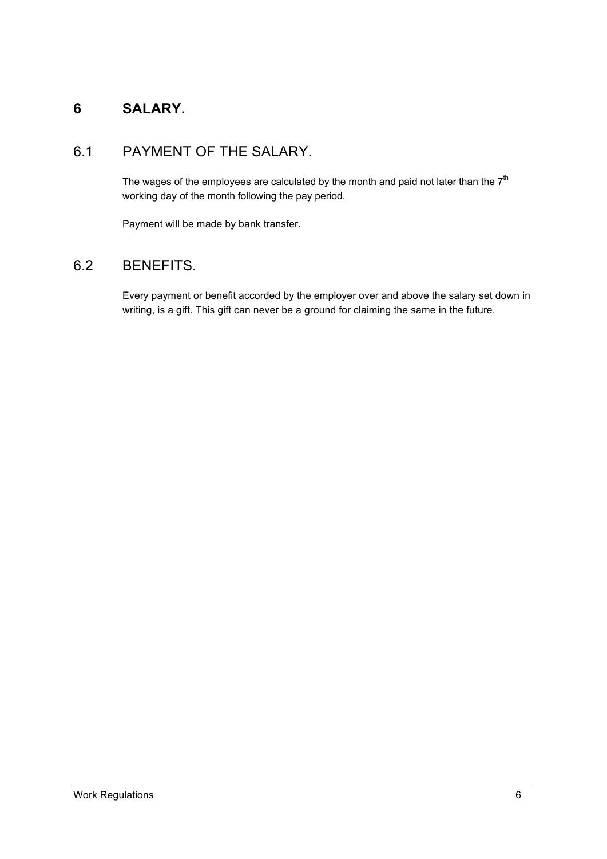### **6 SALARY.**

### 6.1 PAYMENT OF THE SALARY.

The wages of the employees are calculated by the month and paid not later than the  $7<sup>th</sup>$ working day of the month following the pay period.

Payment will be made by bank transfer.

### 6.2 BENEFITS.

Every payment or benefit accorded by the employer over and above the salary set down in writing, is a gift. This gift can never be a ground for claiming the same in the future.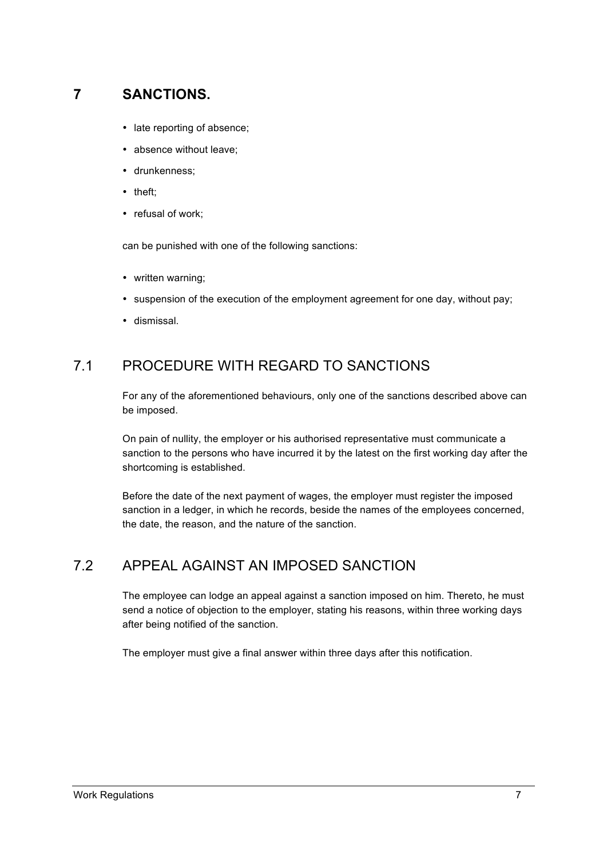### **7 SANCTIONS.**

- late reporting of absence;
- absence without leave;
- drunkenness;
- theft;
- refusal of work;

can be punished with one of the following sanctions:

- written warning;
- suspension of the execution of the employment agreement for one day, without pay;
- dismissal.

### 7.1 PROCEDURE WITH REGARD TO SANCTIONS

For any of the aforementioned behaviours, only one of the sanctions described above can be imposed.

On pain of nullity, the employer or his authorised representative must communicate a sanction to the persons who have incurred it by the latest on the first working day after the shortcoming is established.

Before the date of the next payment of wages, the employer must register the imposed sanction in a ledger, in which he records, beside the names of the employees concerned, the date, the reason, and the nature of the sanction.

### 7.2 APPEAL AGAINST AN IMPOSED SANCTION

The employee can lodge an appeal against a sanction imposed on him. Thereto, he must send a notice of objection to the employer, stating his reasons, within three working days after being notified of the sanction.

The employer must give a final answer within three days after this notification.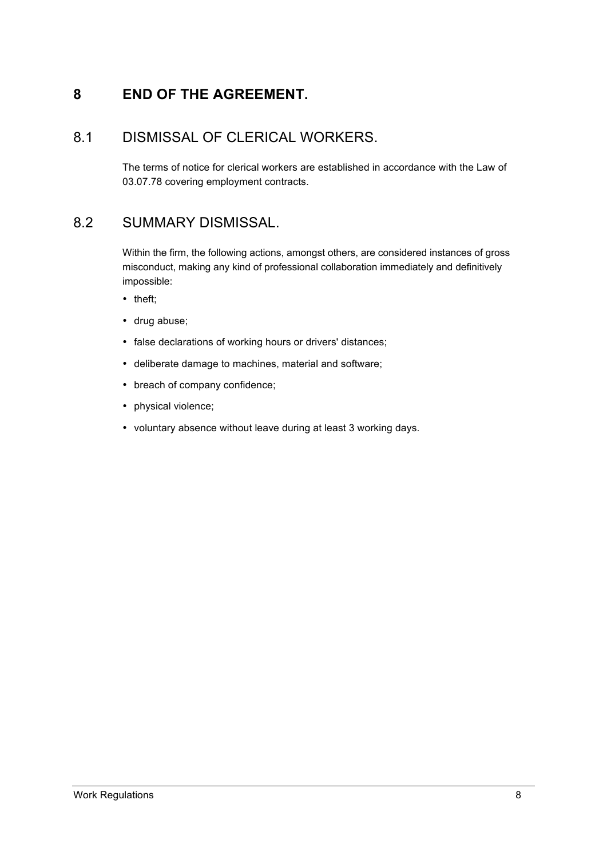### **8 END OF THE AGREEMENT.**

### 8.1 DISMISSAL OF CLERICAL WORKERS.

The terms of notice for clerical workers are established in accordance with the Law of 03.07.78 covering employment contracts.

### 8.2 SUMMARY DISMISSAL.

Within the firm, the following actions, amongst others, are considered instances of gross misconduct, making any kind of professional collaboration immediately and definitively impossible:

- theft;
- drug abuse;
- false declarations of working hours or drivers' distances;
- deliberate damage to machines, material and software;
- breach of company confidence;
- physical violence;
- voluntary absence without leave during at least 3 working days.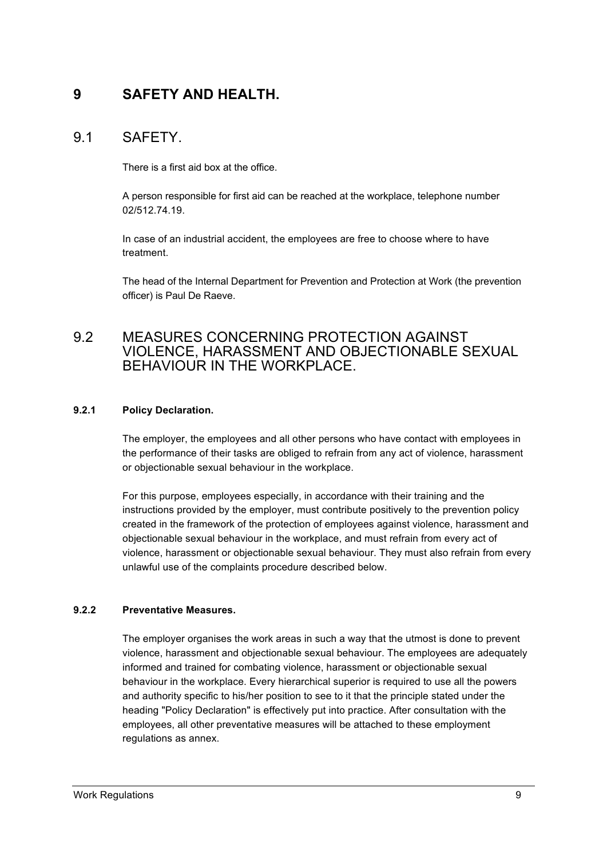### **9 SAFETY AND HEALTH.**

### 9.1 SAFETY.

There is a first aid box at the office.

A person responsible for first aid can be reached at the workplace, telephone number 02/512.74.19.

In case of an industrial accident, the employees are free to choose where to have treatment.

The head of the Internal Department for Prevention and Protection at Work (the prevention officer) is Paul De Raeve.

### 9.2 MEASURES CONCERNING PROTECTION AGAINST VIOLENCE, HARASSMENT AND OBJECTIONABLE SEXUAL BEHAVIOUR IN THE WORKPLACE.

#### **9.2.1 Policy Declaration.**

The employer, the employees and all other persons who have contact with employees in the performance of their tasks are obliged to refrain from any act of violence, harassment or objectionable sexual behaviour in the workplace.

For this purpose, employees especially, in accordance with their training and the instructions provided by the employer, must contribute positively to the prevention policy created in the framework of the protection of employees against violence, harassment and objectionable sexual behaviour in the workplace, and must refrain from every act of violence, harassment or objectionable sexual behaviour. They must also refrain from every unlawful use of the complaints procedure described below.

#### **9.2.2 Preventative Measures.**

The employer organises the work areas in such a way that the utmost is done to prevent violence, harassment and objectionable sexual behaviour. The employees are adequately informed and trained for combating violence, harassment or objectionable sexual behaviour in the workplace. Every hierarchical superior is required to use all the powers and authority specific to his/her position to see to it that the principle stated under the heading "Policy Declaration" is effectively put into practice. After consultation with the employees, all other preventative measures will be attached to these employment regulations as annex.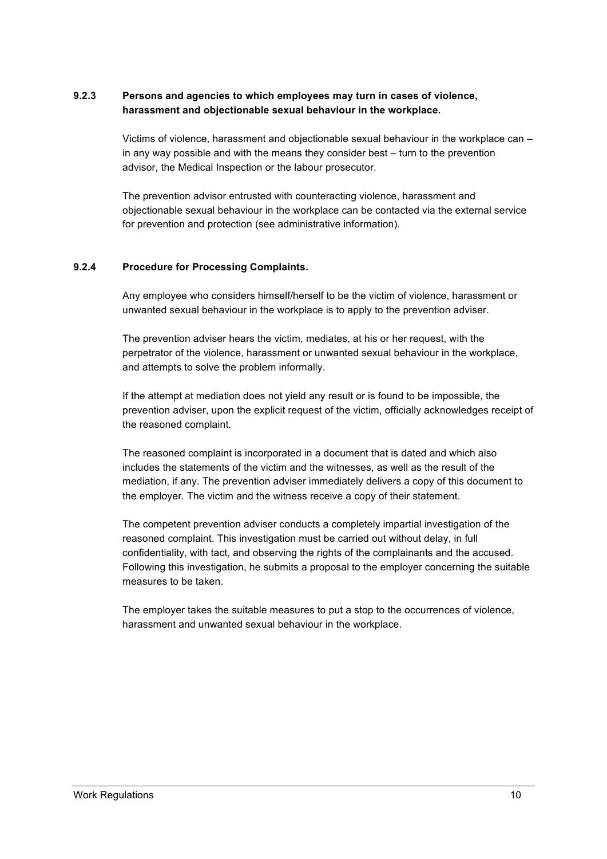#### **9.2.3 Persons and agencies to which employees may turn in cases of violence, harassment and objectionable sexual behaviour in the workplace.**

Victims of violence, harassment and objectionable sexual behaviour in the workplace can – in any way possible and with the means they consider best – turn to the prevention advisor, the Medical Inspection or the labour prosecutor.

The prevention advisor entrusted with counteracting violence, harassment and objectionable sexual behaviour in the workplace can be contacted via the external service for prevention and protection (see administrative information).

#### **9.2.4 Procedure for Processing Complaints.**

Any employee who considers himself/herself to be the victim of violence, harassment or unwanted sexual behaviour in the workplace is to apply to the prevention adviser.

The prevention adviser hears the victim, mediates, at his or her request, with the perpetrator of the violence, harassment or unwanted sexual behaviour in the workplace, and attempts to solve the problem informally.

If the attempt at mediation does not yield any result or is found to be impossible, the prevention adviser, upon the explicit request of the victim, officially acknowledges receipt of the reasoned complaint.

The reasoned complaint is incorporated in a document that is dated and which also includes the statements of the victim and the witnesses, as well as the result of the mediation, if any. The prevention adviser immediately delivers a copy of this document to the employer. The victim and the witness receive a copy of their statement.

The competent prevention adviser conducts a completely impartial investigation of the reasoned complaint. This investigation must be carried out without delay, in full confidentiality, with tact, and observing the rights of the complainants and the accused. Following this investigation, he submits a proposal to the employer concerning the suitable measures to be taken.

The employer takes the suitable measures to put a stop to the occurrences of violence, harassment and unwanted sexual behaviour in the workplace.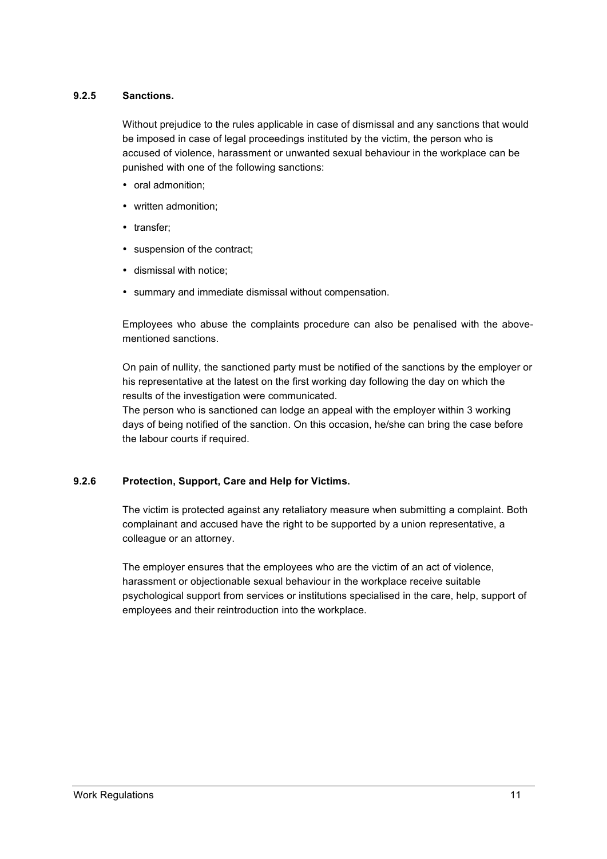#### **9.2.5 Sanctions.**

Without prejudice to the rules applicable in case of dismissal and any sanctions that would be imposed in case of legal proceedings instituted by the victim, the person who is accused of violence, harassment or unwanted sexual behaviour in the workplace can be punished with one of the following sanctions:

- oral admonition;
- written admonition;
- transfer:
- suspension of the contract;
- dismissal with notice;
- summary and immediate dismissal without compensation.

Employees who abuse the complaints procedure can also be penalised with the abovementioned sanctions.

On pain of nullity, the sanctioned party must be notified of the sanctions by the employer or his representative at the latest on the first working day following the day on which the results of the investigation were communicated.

The person who is sanctioned can lodge an appeal with the employer within 3 working days of being notified of the sanction. On this occasion, he/she can bring the case before the labour courts if required.

#### **9.2.6 Protection, Support, Care and Help for Victims.**

The victim is protected against any retaliatory measure when submitting a complaint. Both complainant and accused have the right to be supported by a union representative, a colleague or an attorney.

The employer ensures that the employees who are the victim of an act of violence, harassment or objectionable sexual behaviour in the workplace receive suitable psychological support from services or institutions specialised in the care, help, support of employees and their reintroduction into the workplace.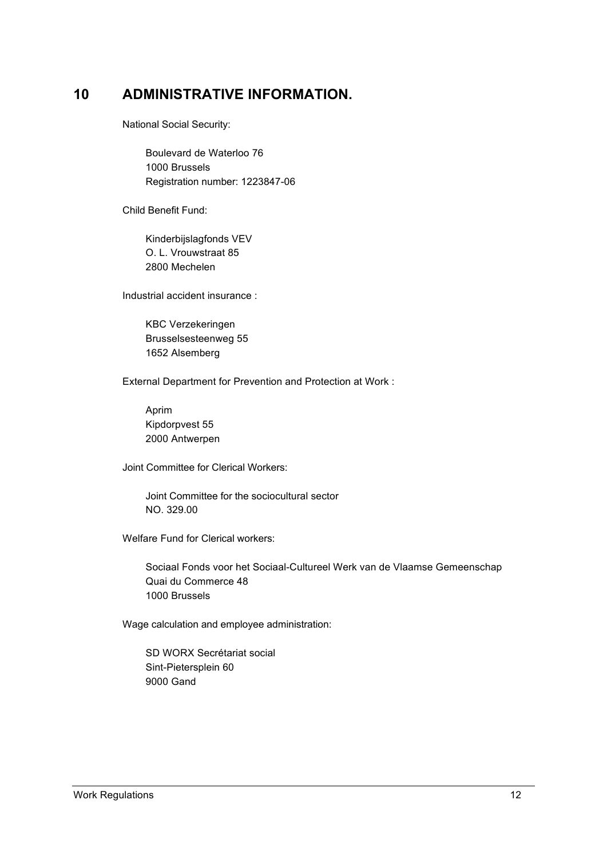### **10 ADMINISTRATIVE INFORMATION.**

National Social Security:

Boulevard de Waterloo 76 1000 Brussels Registration number: 1223847-06

Child Benefit Fund:

Kinderbijslagfonds VEV O. L. Vrouwstraat 85 2800 Mechelen

Industrial accident insurance :

KBC Verzekeringen Brusselsesteenweg 55 1652 Alsemberg

External Department for Prevention and Protection at Work :

Aprim Kipdorpvest 55 2000 Antwerpen

Joint Committee for Clerical Workers:

Joint Committee for the sociocultural sector NO. 329.00

Welfare Fund for Clerical workers:

Sociaal Fonds voor het Sociaal-Cultureel Werk van de Vlaamse Gemeenschap Quai du Commerce 48 1000 Brussels

Wage calculation and employee administration:

SD WORX Secrétariat social Sint-Pietersplein 60 9000 Gand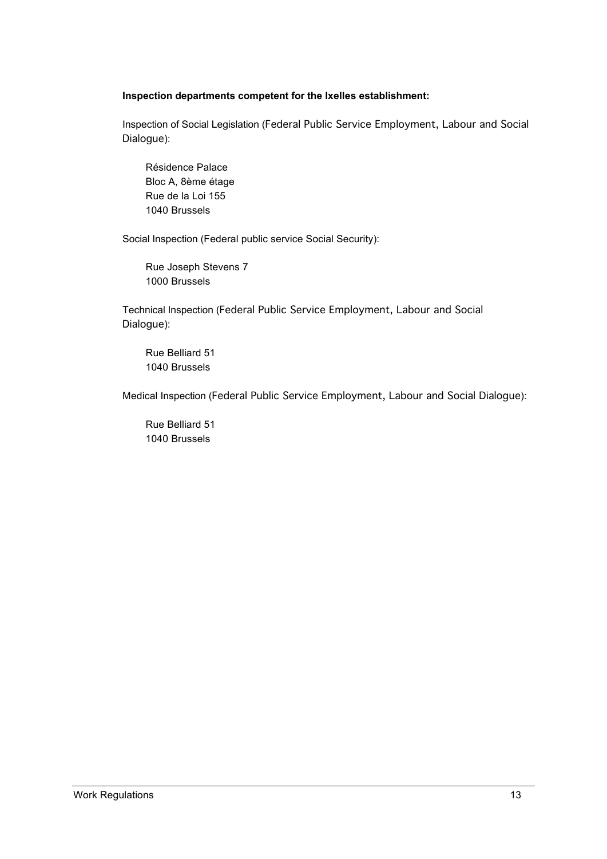#### **Inspection departments competent for the Ixelles establishment:**

Inspection of Social Legislation (Federal Public Service Employment, Labour and Social Dialogue):

Résidence Palace Bloc A, 8ème étage Rue de la Loi 155 1040 Brussels

Social Inspection (Federal public service Social Security):

Rue Joseph Stevens 7 1000 Brussels

Technical Inspection (Federal Public Service Employment, Labour and Social Dialogue):

Rue Belliard 51 1040 Brussels

Medical Inspection (Federal Public Service Employment, Labour and Social Dialogue):

Rue Belliard 51 1040 Brussels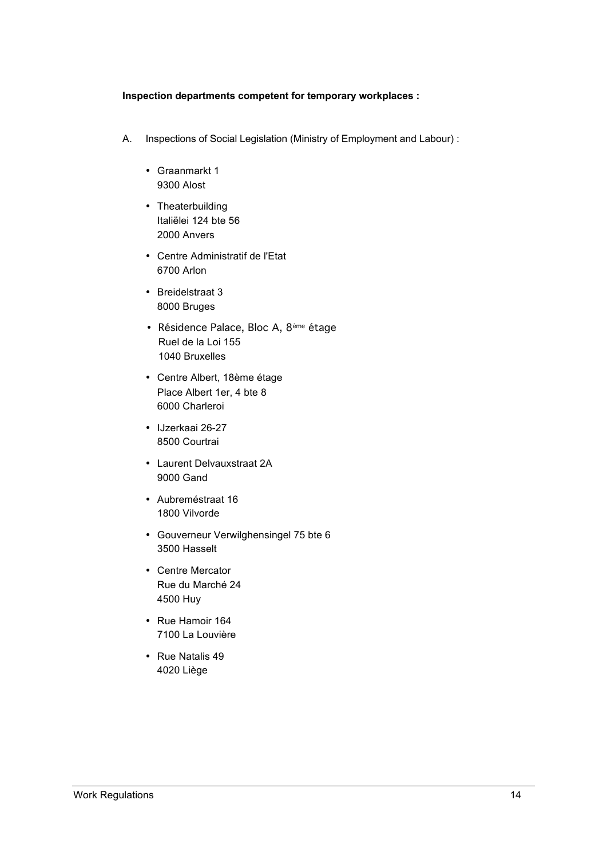#### **Inspection departments competent for temporary workplaces :**

- A. Inspections of Social Legislation (Ministry of Employment and Labour) :
	- Graanmarkt 1 9300 Alost
	- Theaterbuilding Italiëlei 124 bte 56 2000 Anvers
	- Centre Administratif de l'Etat 6700 Arlon
	- Breidelstraat 3 8000 Bruges
	- Résidence Palace, Bloc A, 8ème étage Ruel de la Loi 155 1040 Bruxelles
	- Centre Albert, 18ème étage Place Albert 1er, 4 bte 8 6000 Charleroi
	- IJzerkaai 26-27 8500 Courtrai
	- Laurent Delvauxstraat 2A 9000 Gand
	- Aubreméstraat 16 1800 Vilvorde
	- Gouverneur Verwilghensingel 75 bte 6 3500 Hasselt
	- Centre Mercator Rue du Marché 24 4500 Huy
	- Rue Hamoir 164 7100 La Louvière
	- Rue Natalis 49 4020 Liège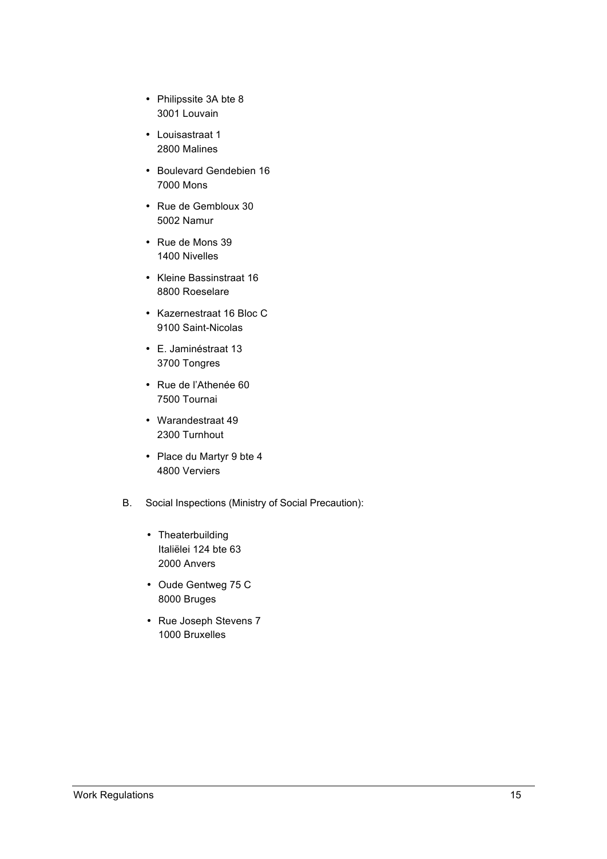- Philipssite 3A bte 8 3001 Louvain
- Louisastraat 1 2800 Malines
- Boulevard Gendebien 16 7000 Mons
- Rue de Gembloux 30 5002 Namur
- Rue de Mons 39 1400 Nivelles
- Kleine Bassinstraat 16 8800 Roeselare
- Kazernestraat 16 Bloc C 9100 Saint-Nicolas
- E. Jaminéstraat 13 3700 Tongres
- Rue de l'Athenée 60 7500 Tournai
- Warandestraat 49 2300 Turnhout
- Place du Martyr 9 bte 4 4800 Verviers
- B. Social Inspections (Ministry of Social Precaution):
	- Theaterbuilding Italiëlei 124 bte 63 2000 Anvers
	- Oude Gentweg 75 C 8000 Bruges
	- Rue Joseph Stevens 7 1000 Bruxelles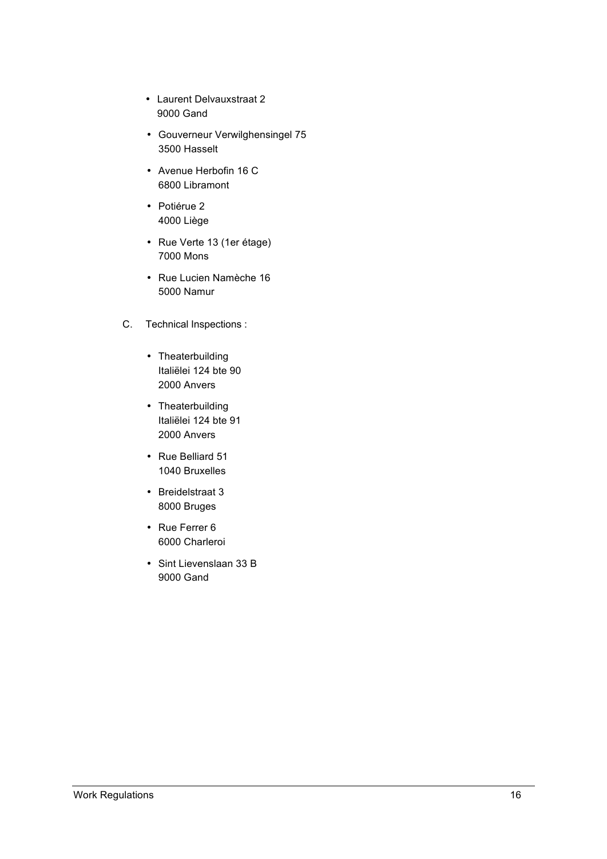- Laurent Delvauxstraat 2 9000 Gand
- Gouverneur Verwilghensingel 75 3500 Hasselt
- Avenue Herbofin 16 C 6800 Libramont
- Potiérue 2 4000 Liège
- Rue Verte 13 (1er étage) 7000 Mons
- Rue Lucien Namèche 16 5000 Namur
- C. Technical Inspections :
	- Theaterbuilding Italiëlei 124 bte 90 2000 Anvers
	- Theaterbuilding Italiëlei 124 bte 91 2000 Anvers
	- Rue Belliard 51 1040 Bruxelles
	- Breidelstraat 3 8000 Bruges
	- Rue Ferrer 6 6000 Charleroi
	- Sint Lievenslaan 33 B 9000 Gand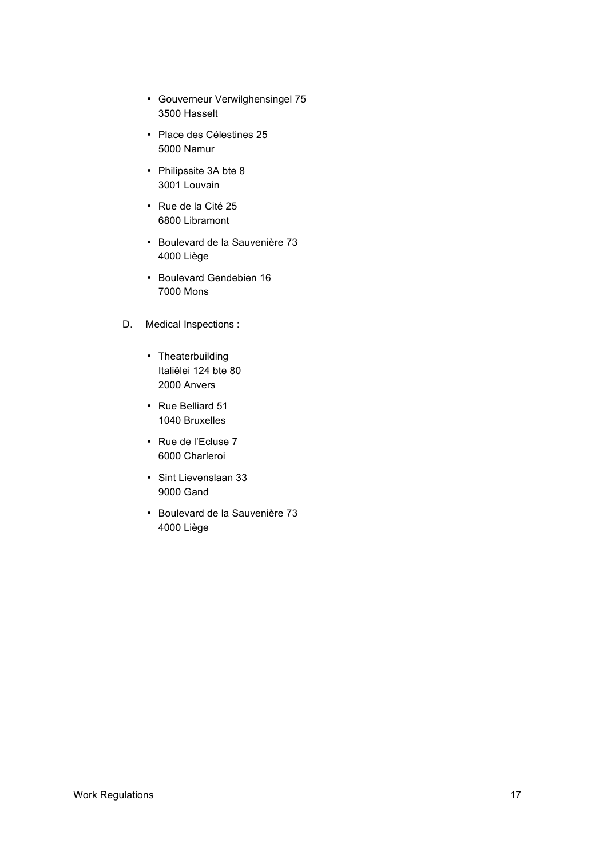- Gouverneur Verwilghensingel 75 3500 Hasselt
- Place des Célestines 25 5000 Namur
- Philipssite 3A bte 8 3001 Louvain
- Rue de la Cité 25 6800 Libramont
- Boulevard de la Sauvenière 73 4000 Liège
- Boulevard Gendebien 16 7000 Mons
- D. Medical Inspections :
	- Theaterbuilding Italiëlei 124 bte 80 2000 Anvers
	- Rue Belliard 51 1040 Bruxelles
	- Rue de l'Ecluse 7 6000 Charleroi
	- Sint Lievenslaan 33 9000 Gand
	- Boulevard de la Sauvenière 73 4000 Liège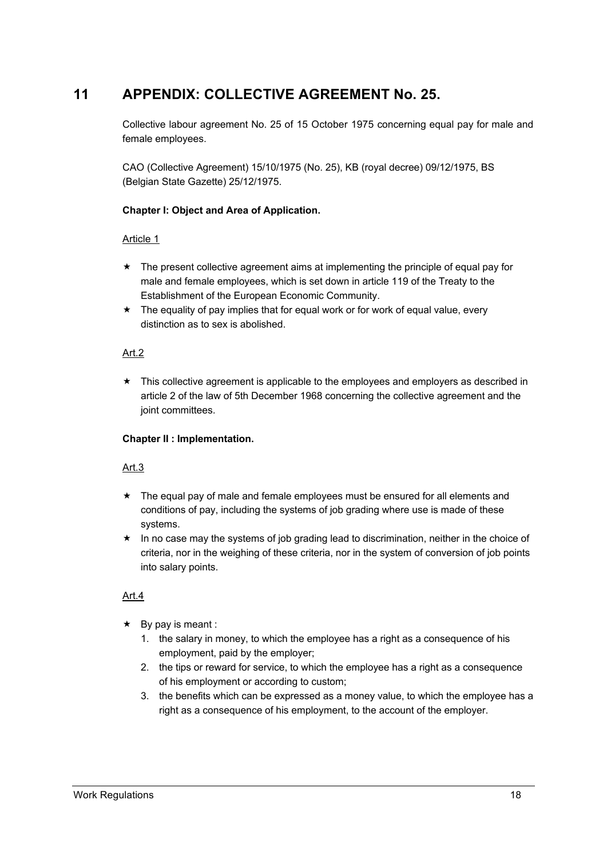### **11 APPENDIX: COLLECTIVE AGREEMENT No. 25.**

Collective labour agreement No. 25 of 15 October 1975 concerning equal pay for male and female employees.

CAO (Collective Agreement) 15/10/1975 (No. 25), KB (royal decree) 09/12/1975, BS (Belgian State Gazette) 25/12/1975.

#### **Chapter I: Object and Area of Application.**

#### Article 1

- $\star$  The present collective agreement aims at implementing the principle of equal pay for male and female employees, which is set down in article 119 of the Treaty to the Establishment of the European Economic Community.
- $\star$  The equality of pay implies that for equal work or for work of equal value, every distinction as to sex is abolished.

#### Art.2

 $\star$  This collective agreement is applicable to the employees and employers as described in article 2 of the law of 5th December 1968 concerning the collective agreement and the joint committees.

#### **Chapter II : Implementation.**

#### Art.3

- $\star$  The equal pay of male and female employees must be ensured for all elements and conditions of pay, including the systems of job grading where use is made of these systems.
- $\star$  In no case may the systems of job grading lead to discrimination, neither in the choice of criteria, nor in the weighing of these criteria, nor in the system of conversion of job points into salary points.

#### Art.4

- $\star$  By pay is meant :
	- 1. the salary in money, to which the employee has a right as a consequence of his employment, paid by the employer;
	- 2. the tips or reward for service, to which the employee has a right as a consequence of his employment or according to custom;
	- 3. the benefits which can be expressed as a money value, to which the employee has a right as a consequence of his employment, to the account of the employer.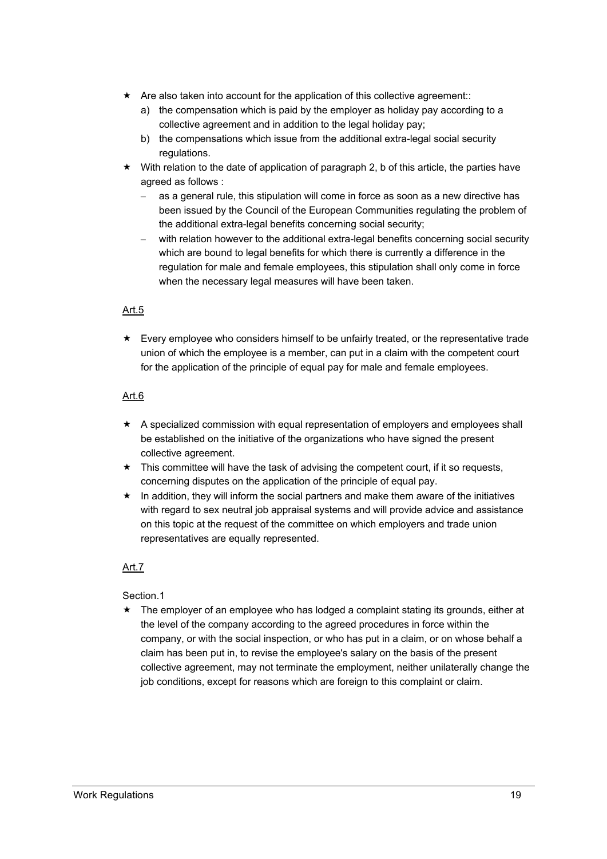- $\star$  Are also taken into account for the application of this collective agreement::
	- a) the compensation which is paid by the employer as holiday pay according to a collective agreement and in addition to the legal holiday pay;
	- b) the compensations which issue from the additional extra-legal social security regulations.
- $\star$  With relation to the date of application of paragraph 2, b of this article, the parties have agreed as follows :
	- as a general rule, this stipulation will come in force as soon as a new directive has been issued by the Council of the European Communities regulating the problem of the additional extra-legal benefits concerning social security;
	- with relation however to the additional extra-legal benefits concerning social security which are bound to legal benefits for which there is currently a difference in the regulation for male and female employees, this stipulation shall only come in force when the necessary legal measures will have been taken.

#### Art.5

 $\star$  Every employee who considers himself to be unfairly treated, or the representative trade union of which the employee is a member, can put in a claim with the competent court for the application of the principle of equal pay for male and female employees.

#### Art.6

- $\star$  A specialized commission with equal representation of employers and employees shall be established on the initiative of the organizations who have signed the present collective agreement.
- $\star$  This committee will have the task of advising the competent court, if it so requests, concerning disputes on the application of the principle of equal pay.
- $\star$  In addition, they will inform the social partners and make them aware of the initiatives with regard to sex neutral job appraisal systems and will provide advice and assistance on this topic at the request of the committee on which employers and trade union representatives are equally represented.

#### Art.7

#### Section.1

 $\star$  The employer of an employee who has lodged a complaint stating its grounds, either at the level of the company according to the agreed procedures in force within the company, or with the social inspection, or who has put in a claim, or on whose behalf a claim has been put in, to revise the employee's salary on the basis of the present collective agreement, may not terminate the employment, neither unilaterally change the job conditions, except for reasons which are foreign to this complaint or claim.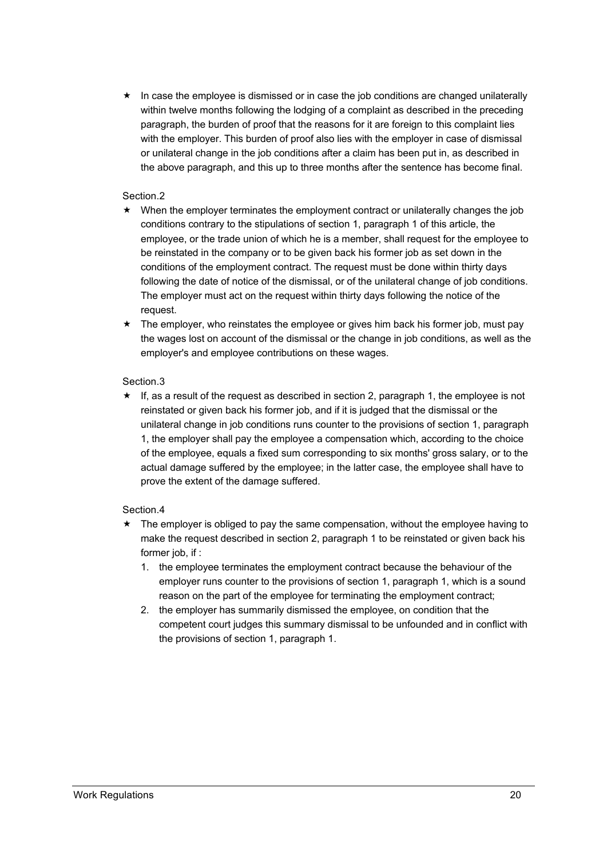$\star$  In case the employee is dismissed or in case the job conditions are changed unilaterally within twelve months following the lodging of a complaint as described in the preceding paragraph, the burden of proof that the reasons for it are foreign to this complaint lies with the employer. This burden of proof also lies with the employer in case of dismissal or unilateral change in the job conditions after a claim has been put in, as described in the above paragraph, and this up to three months after the sentence has become final.

#### Section.2

- $\star$  When the employer terminates the employment contract or unilaterally changes the job conditions contrary to the stipulations of section 1, paragraph 1 of this article, the employee, or the trade union of which he is a member, shall request for the employee to be reinstated in the company or to be given back his former job as set down in the conditions of the employment contract. The request must be done within thirty days following the date of notice of the dismissal, or of the unilateral change of job conditions. The employer must act on the request within thirty days following the notice of the request.
- $\star$  The employer, who reinstates the employee or gives him back his former job, must pay the wages lost on account of the dismissal or the change in job conditions, as well as the employer's and employee contributions on these wages.

#### Section.3

 $\star$  If, as a result of the request as described in section 2, paragraph 1, the employee is not reinstated or given back his former job, and if it is judged that the dismissal or the unilateral change in job conditions runs counter to the provisions of section 1, paragraph 1, the employer shall pay the employee a compensation which, according to the choice of the employee, equals a fixed sum corresponding to six months' gross salary, or to the actual damage suffered by the employee; in the latter case, the employee shall have to prove the extent of the damage suffered.

#### Section.4

- $\star$  The employer is obliged to pay the same compensation, without the employee having to make the request described in section 2, paragraph 1 to be reinstated or given back his former job, if :
	- 1. the employee terminates the employment contract because the behaviour of the employer runs counter to the provisions of section 1, paragraph 1, which is a sound reason on the part of the employee for terminating the employment contract;
	- 2. the employer has summarily dismissed the employee, on condition that the competent court judges this summary dismissal to be unfounded and in conflict with the provisions of section 1, paragraph 1.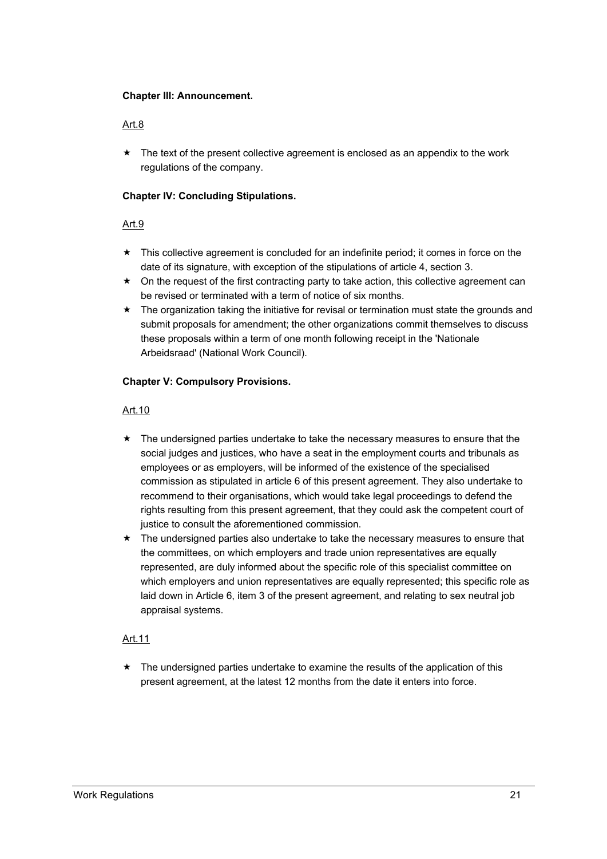#### **Chapter III: Announcement.**

#### Art.8

 $\star$  The text of the present collective agreement is enclosed as an appendix to the work regulations of the company.

#### **Chapter IV: Concluding Stipulations.**

#### Art.9

- $\star$  This collective agreement is concluded for an indefinite period; it comes in force on the date of its signature, with exception of the stipulations of article 4, section 3.
- $\star$  On the request of the first contracting party to take action, this collective agreement can be revised or terminated with a term of notice of six months.
- $\star$  The organization taking the initiative for revisal or termination must state the grounds and submit proposals for amendment; the other organizations commit themselves to discuss these proposals within a term of one month following receipt in the 'Nationale Arbeidsraad' (National Work Council).

#### **Chapter V: Compulsory Provisions.**

#### Art.10

- $\star$  The undersigned parties undertake to take the necessary measures to ensure that the social judges and justices, who have a seat in the employment courts and tribunals as employees or as employers, will be informed of the existence of the specialised commission as stipulated in article 6 of this present agreement. They also undertake to recommend to their organisations, which would take legal proceedings to defend the rights resulting from this present agreement, that they could ask the competent court of justice to consult the aforementioned commission.
- $\star$  The undersigned parties also undertake to take the necessary measures to ensure that the committees, on which employers and trade union representatives are equally represented, are duly informed about the specific role of this specialist committee on which employers and union representatives are equally represented; this specific role as laid down in Article 6, item 3 of the present agreement, and relating to sex neutral job appraisal systems.

#### Art.11

 $\star$  The undersigned parties undertake to examine the results of the application of this present agreement, at the latest 12 months from the date it enters into force.